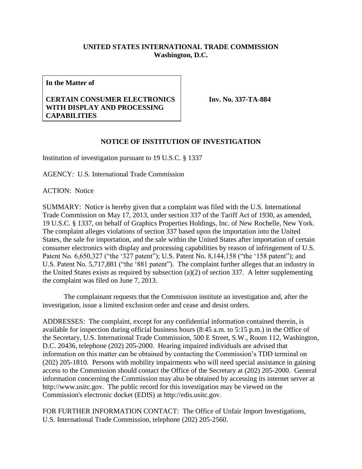## **UNITED STATES INTERNATIONAL TRADE COMMISSION Washington, D.C.**

**In the Matter of**

## **CERTAIN CONSUMER ELECTRONICS WITH DISPLAY AND PROCESSING CAPABILITIES**

**Inv. No. 337-TA-884**

## **NOTICE OF INSTITUTION OF INVESTIGATION**

Institution of investigation pursuant to 19 U.S.C. § 1337

AGENCY: U.S. International Trade Commission

ACTION: Notice

SUMMARY: Notice is hereby given that a complaint was filed with the U.S. International Trade Commission on May 17, 2013, under section 337 of the Tariff Act of 1930, as amended, 19 U.S.C. § 1337, on behalf of Graphics Properties Holdings, Inc. of New Rochelle, New York. The complaint alleges violations of section 337 based upon the importation into the United States, the sale for importation, and the sale within the United States after importation of certain consumer electronics with display and processing capabilities by reason of infringement of U.S. Patent No. 6,650,327 ("the '327 patent"); U.S. Patent No. 8,144,158 ("the '158 patent"); and U.S. Patent No. 5,717,881 ("the '881 patent"). The complaint further alleges that an industry in the United States exists as required by subsection (a)(2) of section 337. A letter supplementing the complaint was filed on June 7, 2013.

The complainant requests that the Commission institute an investigation and, after the investigation, issue a limited exclusion order and cease and desist orders.

ADDRESSES: The complaint, except for any confidential information contained therein, is available for inspection during official business hours (8:45 a.m. to 5:15 p.m.) in the Office of the Secretary, U.S. International Trade Commission, 500 E Street, S.W., Room 112, Washington, D.C. 20436, telephone (202) 205-2000. Hearing impaired individuals are advised that information on this matter can be obtained by contacting the Commission's TDD terminal on (202) 205-1810. Persons with mobility impairments who will need special assistance in gaining access to the Commission should contact the Office of the Secretary at (202) 205-2000. General information concerning the Commission may also be obtained by accessing its internet server at http://www.usitc.gov. The public record for this investigation may be viewed on the Commission's electronic docket (EDIS) at http://edis.usitc.gov.

FOR FURTHER INFORMATION CONTACT: The Office of Unfair Import Investigations, U.S. International Trade Commission, telephone (202) 205-2560.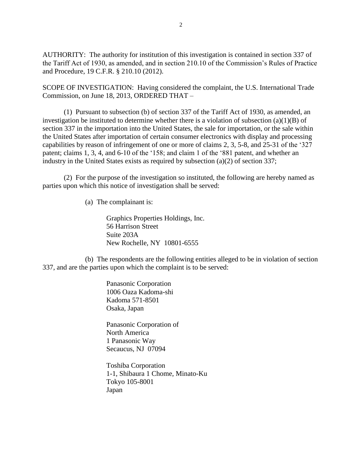AUTHORITY: The authority for institution of this investigation is contained in section 337 of the Tariff Act of 1930, as amended, and in section 210.10 of the Commission's Rules of Practice and Procedure, 19 C.F.R. § 210.10 (2012).

SCOPE OF INVESTIGATION: Having considered the complaint, the U.S. International Trade Commission, on June 18, 2013, ORDERED THAT –

(1) Pursuant to subsection (b) of section 337 of the Tariff Act of 1930, as amended, an investigation be instituted to determine whether there is a violation of subsection (a)(1)(B) of section 337 in the importation into the United States, the sale for importation, or the sale within the United States after importation of certain consumer electronics with display and processing capabilities by reason of infringement of one or more of claims 2, 3, 5-8, and 25-31 of the '327 patent; claims 1, 3, 4, and 6-10 of the '158; and claim 1 of the '881 patent, and whether an industry in the United States exists as required by subsection (a)(2) of section 337;

(2) For the purpose of the investigation so instituted, the following are hereby named as parties upon which this notice of investigation shall be served:

(a) The complainant is:

Graphics Properties Holdings, Inc. 56 Harrison Street Suite 203A New Rochelle, NY 10801-6555

(b) The respondents are the following entities alleged to be in violation of section 337, and are the parties upon which the complaint is to be served:

> Panasonic Corporation 1006 Oaza Kadoma-shi Kadoma 571-8501 Osaka, Japan

Panasonic Corporation of North America 1 Panasonic Way Secaucus, NJ 07094

Toshiba Corporation 1-1, Shibaura 1 Chome, Minato-Ku Tokyo 105-8001 Japan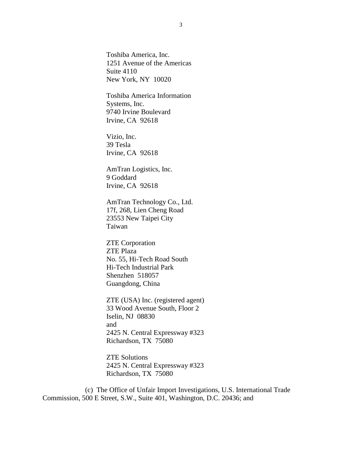Toshiba America, Inc. 1251 Avenue of the Americas Suite 4110 New York, NY 10020

Toshiba America Information Systems, Inc. 9740 Irvine Boulevard Irvine, CA 92618

Vizio, Inc. 39 Tesla Irvine, CA 92618

AmTran Logistics, Inc. 9 Goddard Irvine, CA 92618

AmTran Technology Co., Ltd. 17f, 268, Lien Cheng Road 23553 New Taipei City Taiwan

ZTE Corporation ZTE Plaza No. 55, Hi-Tech Road South Hi-Tech Industrial Park Shenzhen 518057 Guangdong, China

ZTE (USA) Inc. (registered agent) 33 Wood Avenue South, Floor 2 Iselin, NJ 08830 and 2425 N. Central Expressway #323 Richardson, TX 75080

ZTE Solutions 2425 N. Central Expressway #323 Richardson, TX 75080

(c) The Office of Unfair Import Investigations, U.S. International Trade Commission, 500 E Street, S.W., Suite 401, Washington, D.C. 20436; and